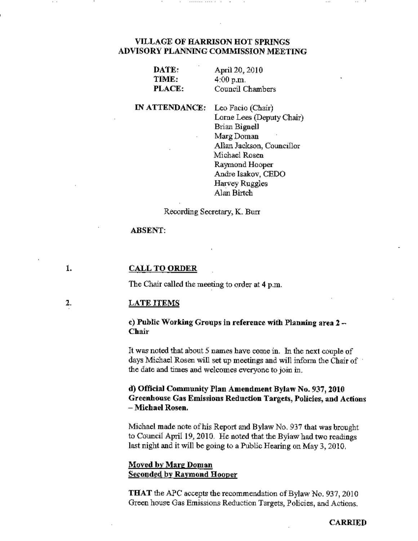# VILLAGE OF HARRISON HOT SPRINGS ADVISORY PLANNING COMMISSION MEETING

| DATE:  | April 20, 2010   |
|--------|------------------|
| TIME:  | 4:00 p.m.        |
| PLACE: | Council Chambers |

IN ATTENDANCE: Leo Facio (Chair) Lorne Lees (Deputy Chair) Brian Bignell MargDoman Allan Jackson, Councillor Michael Rosen Raymond Hooper Andre Isakov, CEDO Harvey Ruggles Alan Birtch

Recording Secretary, K. Burr

## ABSENT:

#### 1. CALL TO ORDER

The Chair called the meeting to order at 4 p.m.

#### 2. LATE ITEMS

### c) Public Working Groups in reference with Planning area 2- Chair

It was noted that about 5 names have come in. In the next couple of days Michael Rosen will set up meetings and will inform the Chair of the date and times and welcomes everyone to join in.

## d) Official Community Plan Amendment Bylaw No. 937, 2010 Greenhouse Gas Emissions Reduction Targets, Policies, and Actions - Michael Rosen.

Michael made note of his Report and Bylaw No. 937 that was brought to Council April 19, 2010. He noted that the Bylaw had two readings last night and it will be going to a Public Hearing on May 3, 2D10.

# Moved by Marg Doman Seconded by Raymond Hooper

THAT the APC accepts the recommendation of Bylaw No. 937, 2010 Green house Gas Emissions Reduction Targets, Policies, and Actions.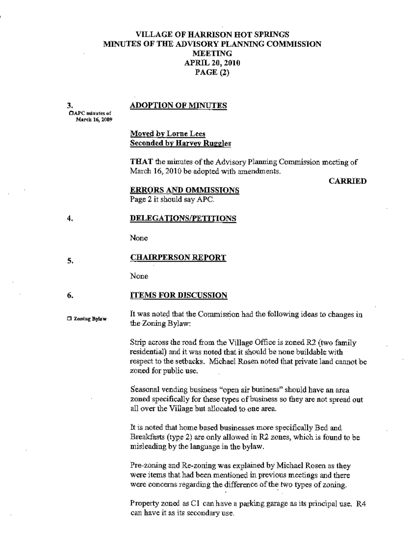# VILLAGE OF HARRISON HOT SPRINGS MINUTES OF TilE ADVISORY PLANNING COMMISSION MEETING APRIL 20,2010 PAGE (2)

3.

4.

### ADOPTION OF MINUTES

OAPC mln\ot<s of March 16, 2009

# Moved by Lorne Lees Seconded by Harvey Ruggles

THAT the minutes of the AdVIsory Planning Commission meeting of March 16, 2010 be adopted with amendments.

### CARRIED

### ERRORS AND OMMISSIONS

Page 2 it should say APC.

## DELEGATIONS/PETITIONS

None

#### 5. CHAIRPERSON REPORT

None

#### 6. ITEMS FOR DISCUSSION

□ Zoning Bylaw

It was noted that the Commission had the following ideas to changes in the Zoning Bylaw:

Strip across the road from the Village Office is zoned R2 (two family residential) and it was noted that it should be none buildable with respect to the setbacks. Michael Rosen noted that private land cannot be zoued for public use.

Seasonal vending business "open air business" should have an area zoned specifically for these types of business so they are not spread out all over the Village but allocated to one area.

It is noted that home based businesses more specifically Bed and Breakfasts (type 2) are only allowed in R2 zones, which is found to be misleading by the language in the bylaw.

Pre-zoning and Re-zoning was explained by Michael Rosen as they were items that had been mentioned in previous meetings and there were concerns regarding the difference of the two types of zoning.

Property zoned as Cl can have a parking garage as 118 principal use. R4 can have it as its secondary use.